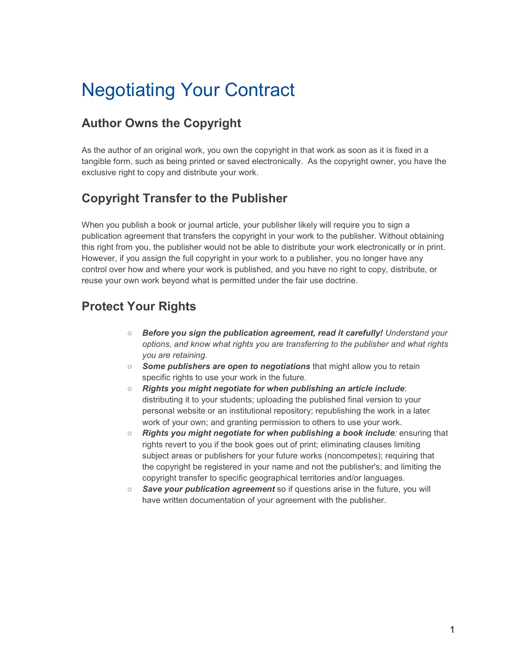### **Author Owns the Copyright**

As the author of an original work, you own the copyright in that work as soon as it is fixed in a tangible form, such as being printed or saved electronically. As the copyright owner, you have the exclusive right to copy and distribute your work.

### **Copyright Transfer to the Publisher**

When you publish a book or journal article, your publisher likely will require you to sign a publication agreement that transfers the copyright in your work to the publisher. Without obtaining this right from you, the publisher would not be able to distribute your work electronically or in print. However, if you assign the full copyright in your work to a publisher, you no longer have any control over how and where your work is published, and you have no right to copy, distribute, or reuse your own work beyond what is permitted under the fair use doctrine.

#### **Protect Your Rights**

- *Before you sign the publication agreement, read it carefully! Understand your options, and know what rights you are transferring to the publisher and what rights you are retaining.*
- *Some publishers are open to negotiations* that might allow you to retain specific rights to use your work in the future.
- *Rights you might negotiate for when publishing an article include*: distributing it to your students; uploading the published final version to your personal website or an institutional repository; republishing the work in a later work of your own; and granting permission to others to use your work.
- *Rights you might negotiate for when publishing a book include:* ensuring that rights revert to you if the book goes out of print; eliminating clauses limiting subject areas or publishers for your future works (noncompetes); requiring that the copyright be registered in your name and not the publisher's; and limiting the copyright transfer to specific geographical territories and/or languages.
- *Save your publication agreement* so if questions arise in the future, you will have written documentation of your agreement with the publisher.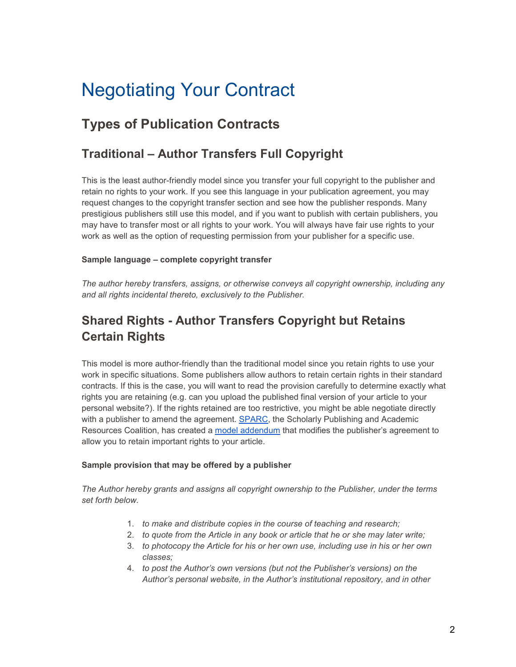## **Types of Publication Contracts**

#### **Traditional – Author Transfers Full Copyright**

This is the least author-friendly model since you transfer your full copyright to the publisher and retain no rights to your work. If you see this language in your publication agreement, you may request changes to the copyright transfer section and see how the publisher responds. Many prestigious publishers still use this model, and if you want to publish with certain publishers, you may have to transfer most or all rights to your work. You will always have fair use rights to your work as well as the option of requesting permission from your publisher for a specific use.

#### **Sample language – complete copyright transfer**

*The author hereby transfers, assigns, or otherwise conveys all copyright ownership, including any and all rights incidental thereto, exclusively to the Publisher.*

## **Shared Rights - Author Transfers Copyright but Retains Certain Rights**

This model is more author-friendly than the traditional model since you retain rights to use your work in specific situations. Some publishers allow authors to retain certain rights in their standard contracts. If this is the case, you will want to read the provision carefully to determine exactly what rights you are retaining (e.g. can you upload the published final version of your article to your personal website?). If the rights retained are too restrictive, you might be able negotiate directly with a publisher to amend the agreement. [SPARC,](https://sparcopen.org/) the Scholarly Publishing and Academic Resources Coalition, has created a [model addendum](https://sparcopen.org/our-work/author-rights/) that modifies the publisher's agreement to allow you to retain important rights to your article.

#### **Sample provision that may be offered by a publisher**

*The Author hereby grants and assigns all copyright ownership to the Publisher, under the terms set forth below.*

- 1. *to make and distribute copies in the course of teaching and research;*
- 2. *to quote from the Article in any book or article that he or she may later write;*
- 3. *to photocopy the Article for his or her own use, including use in his or her own classes;*
- 4. *to post the Author's own versions (but not the Publisher's versions) on the Author's personal website, in the Author's institutional repository, and in other*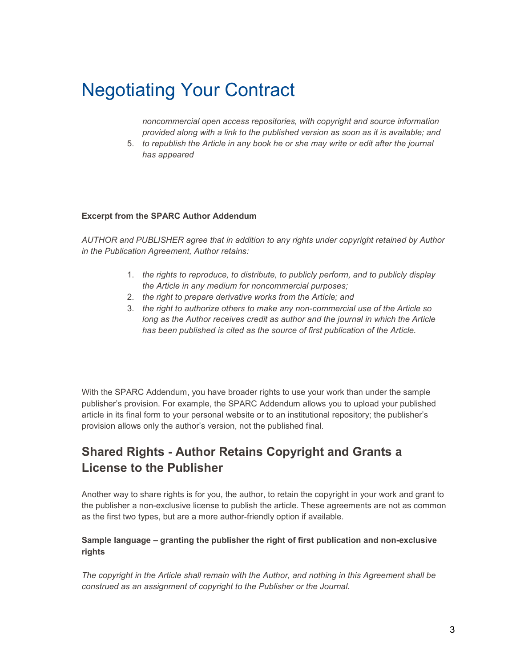*noncommercial open access repositories, with copyright and source information provided along with a link to the published version as soon as it is available; and*

5. *to republish the Article in any book he or she may write or edit after the journal has appeared*

#### **Excerpt from the SPARC Author Addendum**

*AUTHOR and PUBLISHER agree that in addition to any rights under copyright retained by Author in the Publication Agreement, Author retains:*

- 1. *the rights to reproduce, to distribute, to publicly perform, and to publicly display the Article in any medium for noncommercial purposes;*
- 2. *the right to prepare derivative works from the Article; and*
- 3. *the right to authorize others to make any non-commercial use of the Article so long as the Author receives credit as author and the journal in which the Article has been published is cited as the source of first publication of the Article.*

With the SPARC Addendum, you have broader rights to use your work than under the sample publisher's provision. For example, the SPARC Addendum allows you to upload your published article in its final form to your personal website or to an institutional repository; the publisher's provision allows only the author's version, not the published final.

#### **Shared Rights - Author Retains Copyright and Grants a License to the Publisher**

Another way to share rights is for you, the author, to retain the copyright in your work and grant to the publisher a non-exclusive license to publish the article. These agreements are not as common as the first two types, but are a more author-friendly option if available.

#### **Sample language – granting the publisher the right of first publication and non-exclusive rights**

*The copyright in the Article shall remain with the Author, and nothing in this Agreement shall be construed as an assignment of copyright to the Publisher or the Journal.*